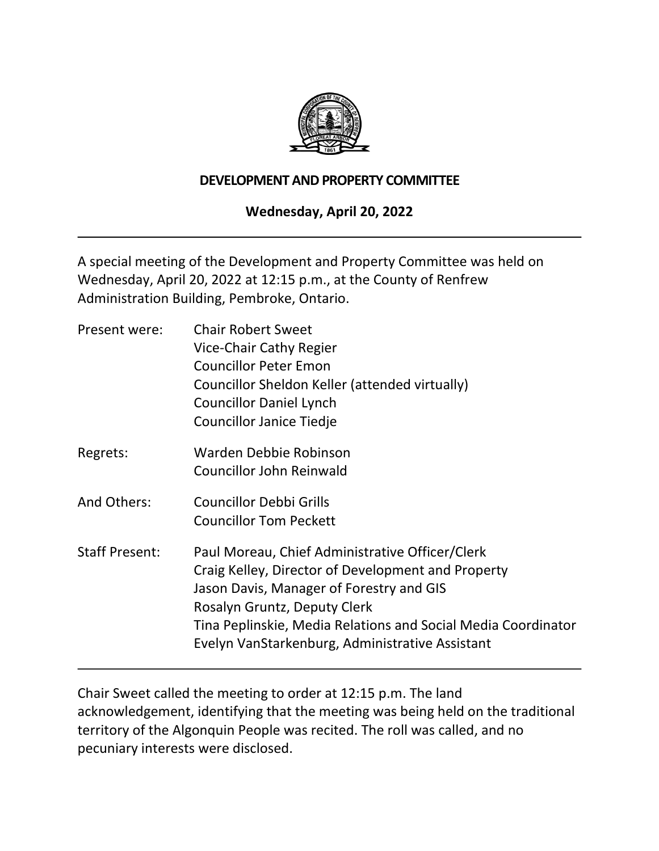

#### **DEVELOPMENT AND PROPERTY COMMITTEE**

# **Wednesday, April 20, 2022**

A special meeting of the Development and Property Committee was held on Wednesday, April 20, 2022 at 12:15 p.m., at the County of Renfrew Administration Building, Pembroke, Ontario.

| Present were:         | <b>Chair Robert Sweet</b><br>Vice-Chair Cathy Regier<br><b>Councillor Peter Emon</b><br>Councillor Sheldon Keller (attended virtually)<br><b>Councillor Daniel Lynch</b><br><b>Councillor Janice Tiedje</b>                                                                                           |
|-----------------------|-------------------------------------------------------------------------------------------------------------------------------------------------------------------------------------------------------------------------------------------------------------------------------------------------------|
| Regrets:              | Warden Debbie Robinson<br>Councillor John Reinwald                                                                                                                                                                                                                                                    |
| And Others:           | <b>Councillor Debbi Grills</b><br><b>Councillor Tom Peckett</b>                                                                                                                                                                                                                                       |
| <b>Staff Present:</b> | Paul Moreau, Chief Administrative Officer/Clerk<br>Craig Kelley, Director of Development and Property<br>Jason Davis, Manager of Forestry and GIS<br>Rosalyn Gruntz, Deputy Clerk<br>Tina Peplinskie, Media Relations and Social Media Coordinator<br>Evelyn VanStarkenburg, Administrative Assistant |

Chair Sweet called the meeting to order at 12:15 p.m. The land acknowledgement, identifying that the meeting was being held on the traditional territory of the Algonquin People was recited. The roll was called, and no pecuniary interests were disclosed.